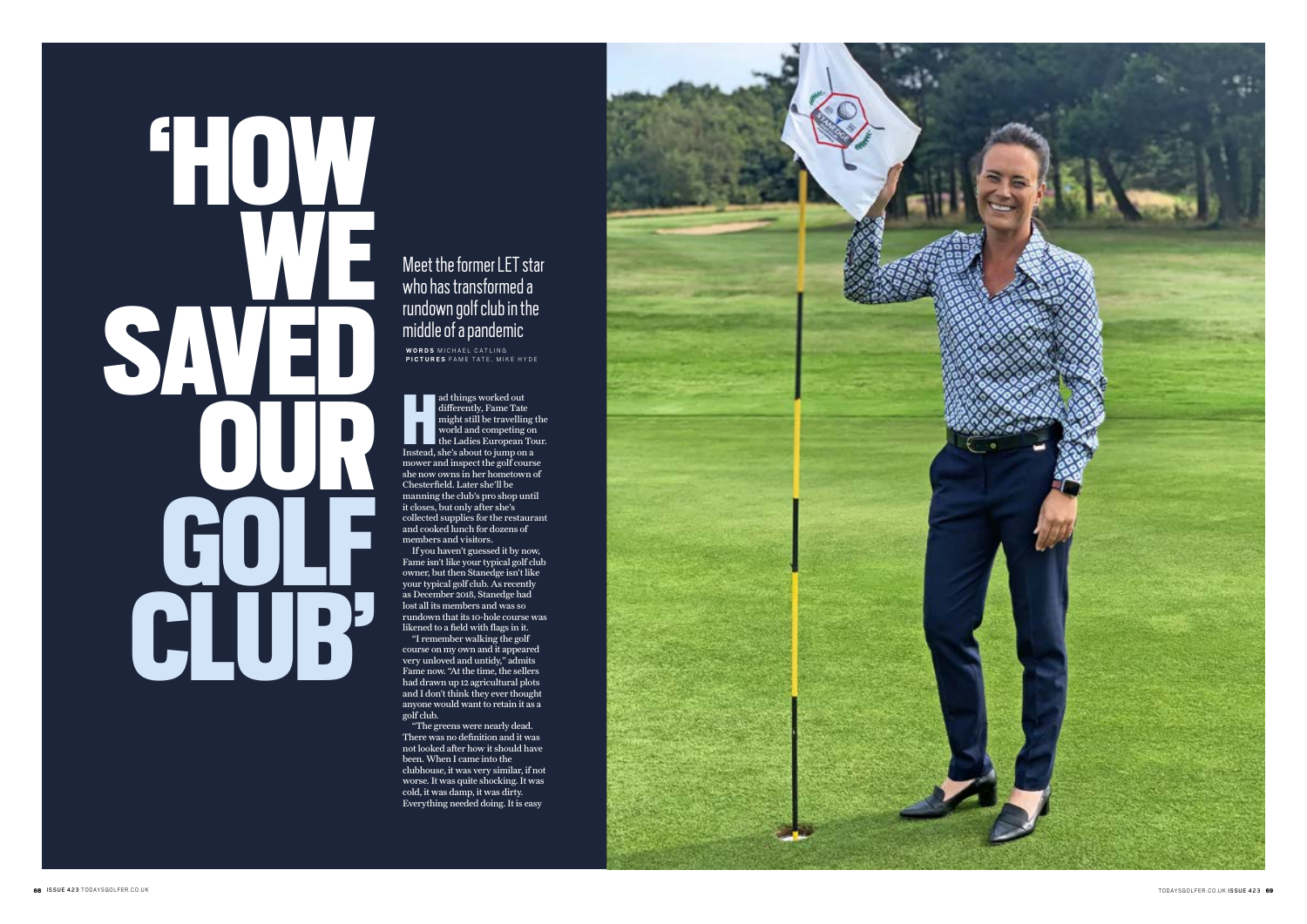## 'HOW WE SAVED OUR **COLF** CLU

ad things worked out<br>differently, Fame Tate<br>might still be travelling<br>world and competing or<br>the Ladies European To<br>Instead, she's about to jump on a ad things worked out differently, Fame Tate might still be travelling the world and competing on the Ladies European Tour. mower and inspect the golf course she now owns in her hometown of Chesterfield. Later she'll be manning the club's pro shop until it closes, but only after she's collected supplies for the restaurant and cooked lunch for dozens of members and visitors.

Meet the former LET star who has transformed a rundown golf club in the middle of a pandemic **WORDS** MICHAEL CATLING

If you haven't guessed it by now, Fame isn't like your typical golf club owner, but then Stanedge isn't like your typical golf club. As recently as December 2018, Stanedge had lost all its members and was so rundown that its 10-hole course was likened to a field with flags in it.

"I remember walking the golf course on my own and it appeared very unloved and untidy," admits Fame now. "At the time, the sellers had drawn up 12 agricultural plots and I don't think they ever thought anyone would want to retain it as a golf club.

"The greens were nearly dead. There was no definition and it was not looked after how it should have been. When I came into the clubhouse, it was very similar, if not worse. It was quite shocking. It was cold, it was damp, it was dirty. Everything needed doing. It is easy



**PICTURES** FAME TATE, MIKE HYDE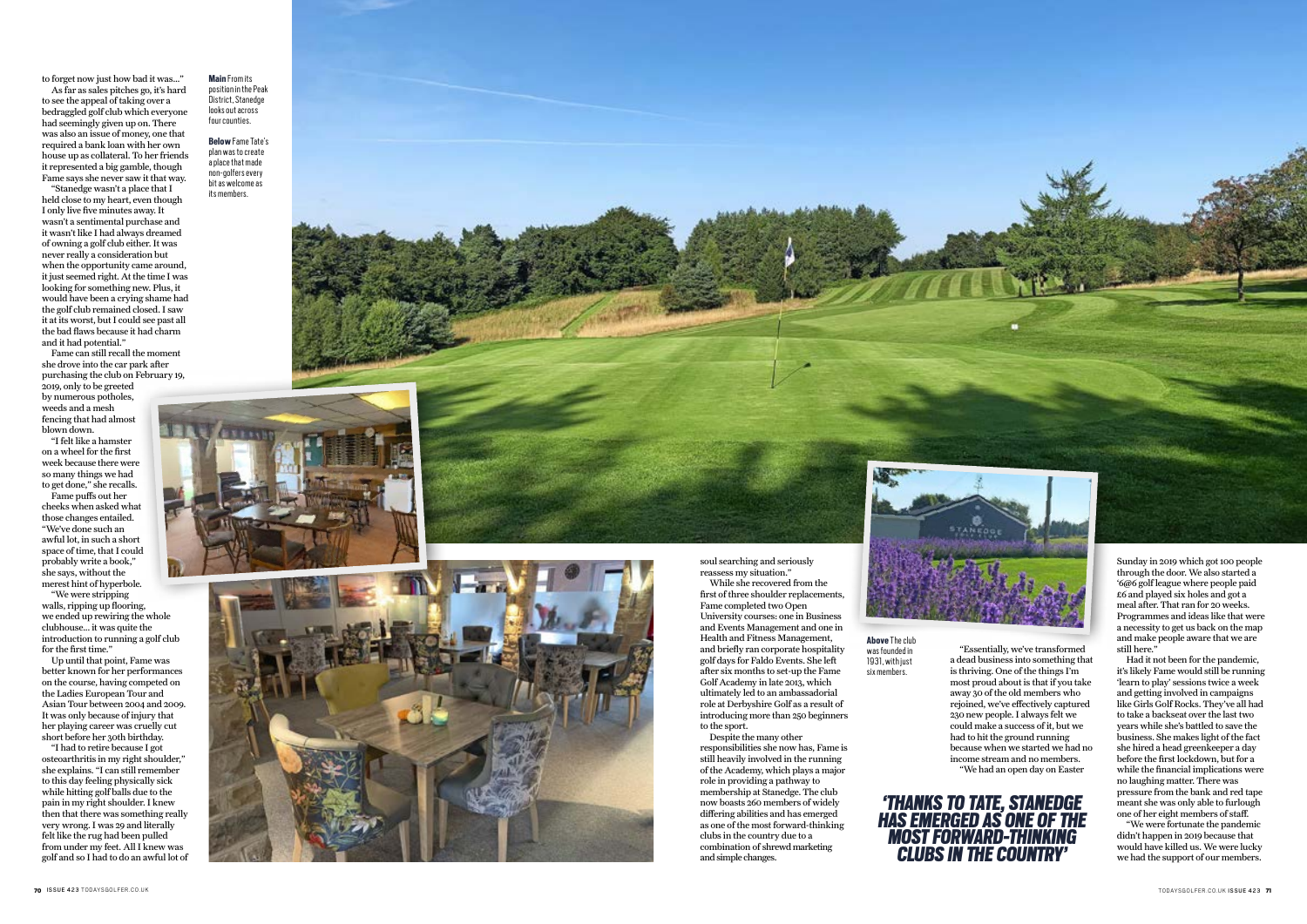

to forget now just how bad it was…"

As far as sales pitches go, it's hard to see the appeal of taking over a bedraggled golf club which everyone had seemingly given up on. There was also an issue of money, one that required a bank loan with her own house up as collateral. To her friends it represented a big gamble, though Fame says she never saw it that way.

"Stanedge wasn't a place that I held close to my heart, even though I only live five minutes away. It wasn't a sentimental purchase and it wasn't like I had always dreamed of owning a golf club either. It was never really a consideration but when the opportunity came around. it just seemed right. At the time I was looking for something new. Plus, it would have been a crying shame had the golf club remained closed. I saw it at its worst, but I could see past all the bad flaws because it had charm and it had potential."

Fame can still recall the moment she drove into the car park after purchasing the club on February 19, 2019, only to be greeted by numerous potholes, weeds and a mesh fencing that had almost blown down.

"I felt like a hamster on a wheel for the first week because there were so many things we had to get done," she recalls.

Fame puffs out her cheeks when asked what those changes entailed. "We've done such an awful lot, in such a short space of time, that I could probably write a book," she says, without the merest hint of hyperbole.

"We were stripping walls, ripping up flooring, we ended up rewiring the whole clubhouse... it was quite the introduction to running a golf club for the first time."

Up until that point, Fame was better known for her performances on the course, having competed on the Ladies European Tour and Asian Tour between 2004 and 2009. It was only because of injury that her playing career was cruelly cut short before her 30th birthday.

"I had to retire because I got osteoarthritis in my right shoulder," she explains. "I can still remember to this day feeling physically sick while hitting golf balls due to the pain in my right shoulder. I knew then that there was something really very wrong. I was 29 and literally felt like the rug had been pulled from under my feet. All I knew was golf and so I had to do an awful lot of

soul searching and seriously reassess my situation."

While she recovered from the first of three shoulder replacements, Fame completed two Open University courses: one in Business and Events Management and one in Health and Fitness Management, and briefly ran corporate hospitality golf days for Faldo Events. She left after six months to set-up the Fame Golf Academy in late 2013, which ultimately led to an ambassadorial role at Derbyshire Golf as a result of introducing more than 250 beginners to the sport.

Despite the many other responsibilities she now has, Fame is still heavily involved in the running of the Academy, which plays a major role in providing a pathway to membership at Stanedge. The club now boasts 260 members of widely differing abilities and has emerged as one of the most forward-thinking clubs in the country due to a combination of shrewd marketing and simple changes.



"Essentially, we've transformed a dead business into something that is thriving. One of the things I'm most proud about is that if you take away 30 of the old members who rejoined, we've effectively captured 230 new people. I always felt we could make a success of it, but we had to hit the ground running because when we started we had no income stream and no members. "We had an open day on Easter

Sunday in 2019 which got 100 people through the door. We also started a '6@6 golf league where people paid  $\overrightarrow{6}$  and played six holes and got a meal after. That ran for 20 weeks. Programmes and ideas like that were a necessity to get us back on the map and make people aware that we are still here."

Had it not been for the pandemic, it's likely Fame would still be running 'learn to play' sessions twice a week and getting involved in campaigns like Girls Golf Rocks. They've all had to take a backseat over the last two years while she's battled to save the business. She makes light of the fact she hired a head greenkeeper a day before the first lockdown, but for a while the financial implications were no laughing matter. There was pressure from the bank and red tape meant she was only able to furlough one of her eight members of staff.

"We were fortunate the pandemic didn't happen in 2019 because that would have killed us. We were lucky we had the support of our members.

**Main**From its position in the Peak .<br>District, Stanedge looks out across four counties.

**Below**Fame Tate's plan was to create a place that made non-golfers ever y bit as welcome as its members.





**Above**The club was founded in 1931, with just six members.